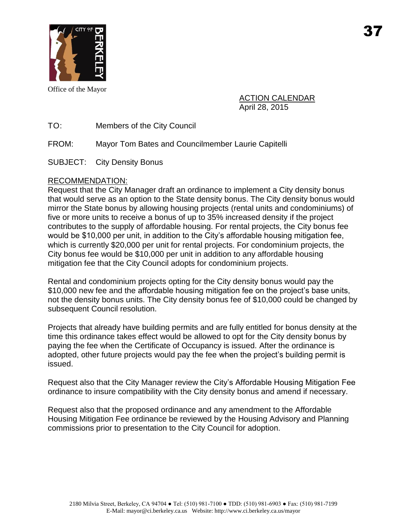

Office of the Mayor

ACTION CALENDAR April 28, 2015

TO: Members of the City Council

FROM: Mayor Tom Bates and Councilmember Laurie Capitelli

SUBJECT: City Density Bonus

# RECOMMENDATION:

Request that the City Manager draft an ordinance to implement a City density bonus that would serve as an option to the State density bonus. The City density bonus would mirror the State bonus by allowing housing projects (rental units and condominiums) of five or more units to receive a bonus of up to 35% increased density if the project contributes to the supply of affordable housing. For rental projects, the City bonus fee would be \$10,000 per unit, in addition to the City's affordable housing mitigation fee, which is currently \$20,000 per unit for rental projects. For condominium projects, the City bonus fee would be \$10,000 per unit in addition to any affordable housing mitigation fee that the City Council adopts for condominium projects.

Rental and condominium projects opting for the City density bonus would pay the \$10,000 new fee and the affordable housing mitigation fee on the project's base units, not the density bonus units. The City density bonus fee of \$10,000 could be changed by subsequent Council resolution.

Projects that already have building permits and are fully entitled for bonus density at the time this ordinance takes effect would be allowed to opt for the City density bonus by paying the fee when the Certificate of Occupancy is issued. After the ordinance is adopted, other future projects would pay the fee when the project's building permit is issued.

Request also that the City Manager review the City's Affordable Housing Mitigation Fee ordinance to insure compatibility with the City density bonus and amend if necessary.

Request also that the proposed ordinance and any amendment to the Affordable Housing Mitigation Fee ordinance be reviewed by the Housing Advisory and Planning commissions prior to presentation to the City Council for adoption.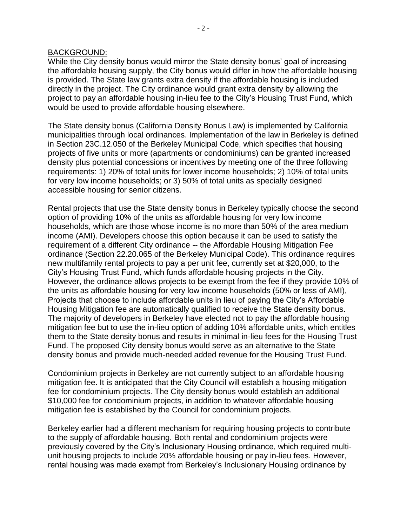#### BACKGROUND:

While the City density bonus would mirror the State density bonus' goal of increasing the affordable housing supply, the City bonus would differ in how the affordable housing is provided. The State law grants extra density if the affordable housing is included directly in the project. The City ordinance would grant extra density by allowing the project to pay an affordable housing in-lieu fee to the City's Housing Trust Fund, which would be used to provide affordable housing elsewhere.

The State density bonus (California Density Bonus Law) is implemented by California municipalities through local ordinances. Implementation of the law in Berkeley is defined in Section 23C.12.050 of the Berkeley Municipal Code, which specifies that housing projects of five units or more (apartments or condominiums) can be granted increased density plus potential concessions or incentives by meeting one of the three following requirements: 1) 20% of total units for lower income households; 2) 10% of total units for very low income households; or 3) 50% of total units as specially designed accessible housing for senior citizens.

Rental projects that use the State density bonus in Berkeley typically choose the second option of providing 10% of the units as affordable housing for very low income households, which are those whose income is no more than 50% of the area medium income (AMI). Developers choose this option because it can be used to satisfy the requirement of a different City ordinance -- the Affordable Housing Mitigation Fee ordinance (Section 22.20.065 of the Berkeley Municipal Code). This ordinance requires new multifamily rental projects to pay a per unit fee, currently set at \$20,000, to the City's Housing Trust Fund, which funds affordable housing projects in the City. However, the ordinance allows projects to be exempt from the fee if they provide 10% of the units as affordable housing for very low income households (50% or less of AMI), Projects that choose to include affordable units in lieu of paying the City's Affordable Housing Mitigation fee are automatically qualified to receive the State density bonus. The majority of developers in Berkeley have elected not to pay the affordable housing mitigation fee but to use the in-lieu option of adding 10% affordable units, which entitles them to the State density bonus and results in minimal in-lieu fees for the Housing Trust Fund. The proposed City density bonus would serve as an alternative to the State density bonus and provide much-needed added revenue for the Housing Trust Fund.

Condominium projects in Berkeley are not currently subject to an affordable housing mitigation fee. It is anticipated that the City Council will establish a housing mitigation fee for condominium projects. The City density bonus would establish an additional \$10,000 fee for condominium projects, in addition to whatever affordable housing mitigation fee is established by the Council for condominium projects.

Berkeley earlier had a different mechanism for requiring housing projects to contribute to the supply of affordable housing. Both rental and condominium projects were previously covered by the City's Inclusionary Housing ordinance, which required multiunit housing projects to include 20% affordable housing or pay in-lieu fees. However, rental housing was made exempt from Berkeley's Inclusionary Housing ordinance by